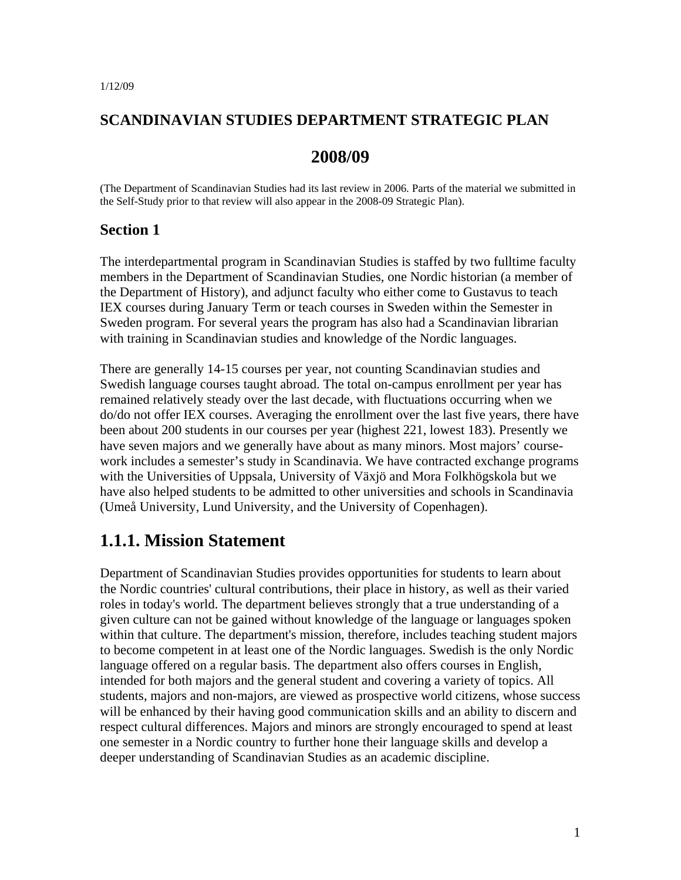### **SCANDINAVIAN STUDIES DEPARTMENT STRATEGIC PLAN**

### **2008/09**

(The Department of Scandinavian Studies had its last review in 2006. Parts of the material we submitted in the Self-Study prior to that review will also appear in the 2008-09 Strategic Plan).

#### **Section 1**

The interdepartmental program in Scandinavian Studies is staffed by two fulltime faculty members in the Department of Scandinavian Studies, one Nordic historian (a member of the Department of History), and adjunct faculty who either come to Gustavus to teach IEX courses during January Term or teach courses in Sweden within the Semester in Sweden program. For several years the program has also had a Scandinavian librarian with training in Scandinavian studies and knowledge of the Nordic languages.

There are generally 14-15 courses per year, not counting Scandinavian studies and Swedish language courses taught abroad. The total on-campus enrollment per year has remained relatively steady over the last decade, with fluctuations occurring when we do/do not offer IEX courses. Averaging the enrollment over the last five years, there have been about 200 students in our courses per year (highest 221, lowest 183). Presently we have seven majors and we generally have about as many minors. Most majors' coursework includes a semester's study in Scandinavia. We have contracted exchange programs with the Universities of Uppsala, University of Växjö and Mora Folkhögskola but we have also helped students to be admitted to other universities and schools in Scandinavia (Umeå University, Lund University, and the University of Copenhagen).

# **1.1.1. Mission Statement**

Department of Scandinavian Studies provides opportunities for students to learn about the Nordic countries' cultural contributions, their place in history, as well as their varied roles in today's world. The department believes strongly that a true understanding of a given culture can not be gained without knowledge of the language or languages spoken within that culture. The department's mission, therefore, includes teaching student majors to become competent in at least one of the Nordic languages. Swedish is the only Nordic language offered on a regular basis. The department also offers courses in English, intended for both majors and the general student and covering a variety of topics. All students, majors and non-majors, are viewed as prospective world citizens, whose success will be enhanced by their having good communication skills and an ability to discern and respect cultural differences. Majors and minors are strongly encouraged to spend at least one semester in a Nordic country to further hone their language skills and develop a deeper understanding of Scandinavian Studies as an academic discipline.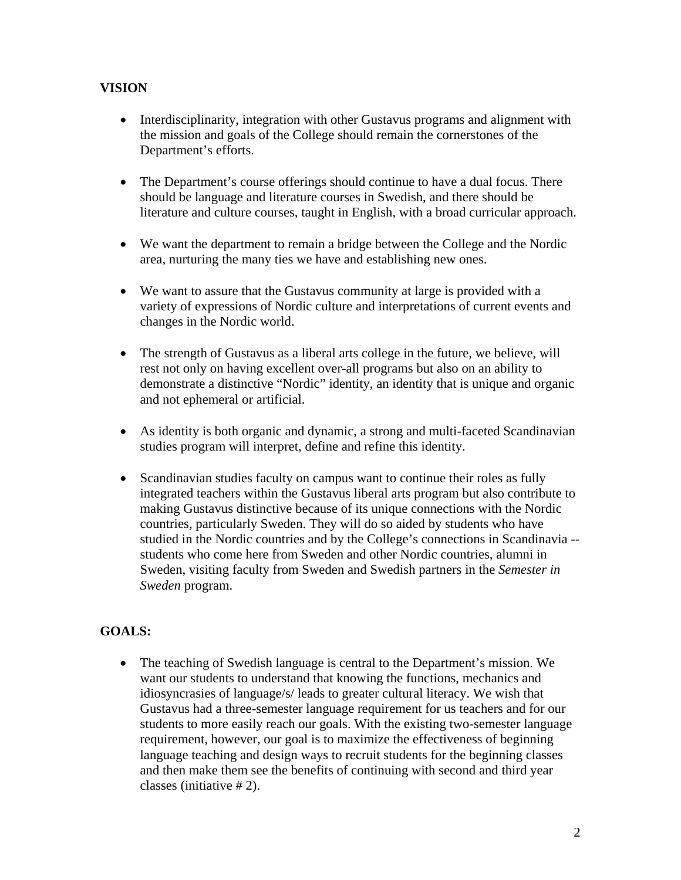### **VISION**

- Interdisciplinarity, integration with other Gustavus programs and alignment with the mission and goals of the College should remain the cornerstones of the Department's efforts.
- The Department's course offerings should continue to have a dual focus. There should be language and literature courses in Swedish, and there should be literature and culture courses, taught in English, with a broad curricular approach.
- We want the department to remain a bridge between the College and the Nordic area, nurturing the many ties we have and establishing new ones.
- We want to assure that the Gustavus community at large is provided with a variety of expressions of Nordic culture and interpretations of current events and changes in the Nordic world.
- The strength of Gustavus as a liberal arts college in the future, we believe, will rest not only on having excellent over-all programs but also on an ability to demonstrate a distinctive "Nordic" identity, an identity that is unique and organic and not ephemeral or artificial.
- As identity is both organic and dynamic, a strong and multi-faceted Scandinavian studies program will interpret, define and refine this identity.
- Scandinavian studies faculty on campus want to continue their roles as fully integrated teachers within the Gustavus liberal arts program but also contribute to making Gustavus distinctive because of its unique connections with the Nordic countries, particularly Sweden. They will do so aided by students who have studied in the Nordic countries and by the College's connections in Scandinavia - students who come here from Sweden and other Nordic countries, alumni in Sweden, visiting faculty from Sweden and Swedish partners in the *Semester in Sweden* program.

### **GOALS:**

• The teaching of Swedish language is central to the Department's mission. We want our students to understand that knowing the functions, mechanics and idiosyncrasies of language/s/ leads to greater cultural literacy. We wish that Gustavus had a three-semester language requirement for us teachers and for our students to more easily reach our goals. With the existing two-semester language requirement, however, our goal is to maximize the effectiveness of beginning language teaching and design ways to recruit students for the beginning classes and then make them see the benefits of continuing with second and third year classes (initiative # 2).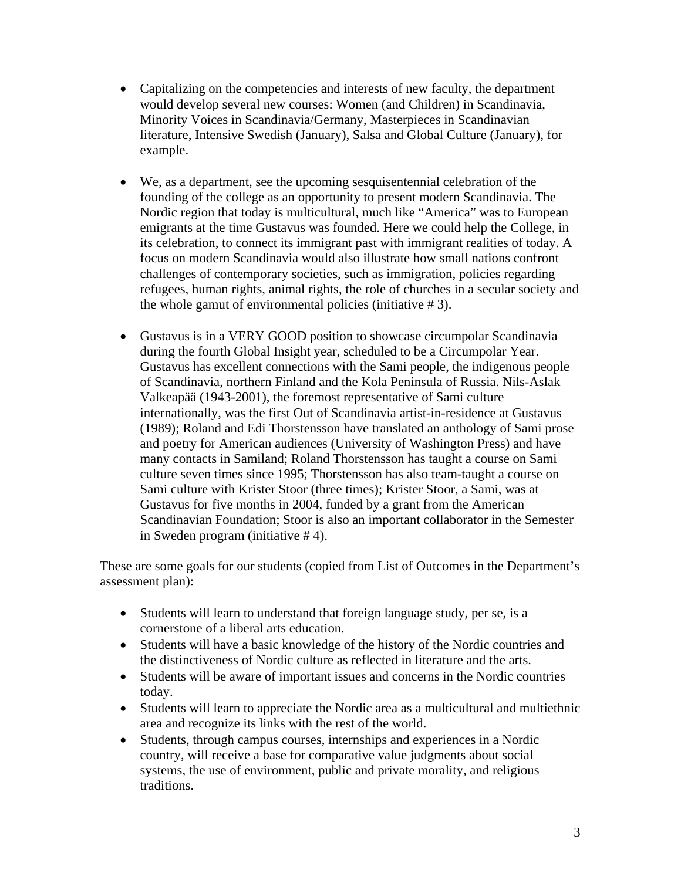- Capitalizing on the competencies and interests of new faculty, the department would develop several new courses: Women (and Children) in Scandinavia, Minority Voices in Scandinavia/Germany, Masterpieces in Scandinavian literature, Intensive Swedish (January), Salsa and Global Culture (January), for example.
- We, as a department, see the upcoming sesquisentennial celebration of the founding of the college as an opportunity to present modern Scandinavia. The Nordic region that today is multicultural, much like "America" was to European emigrants at the time Gustavus was founded. Here we could help the College, in its celebration, to connect its immigrant past with immigrant realities of today. A focus on modern Scandinavia would also illustrate how small nations confront challenges of contemporary societies, such as immigration, policies regarding refugees, human rights, animal rights, the role of churches in a secular society and the whole gamut of environmental policies (initiative # 3).
- Gustavus is in a VERY GOOD position to showcase circumpolar Scandinavia during the fourth Global Insight year, scheduled to be a Circumpolar Year. Gustavus has excellent connections with the Sami people, the indigenous people of Scandinavia, northern Finland and the Kola Peninsula of Russia. Nils-Aslak Valkeapää (1943-2001), the foremost representative of Sami culture internationally, was the first Out of Scandinavia artist-in-residence at Gustavus (1989); Roland and Edi Thorstensson have translated an anthology of Sami prose and poetry for American audiences (University of Washington Press) and have many contacts in Samiland; Roland Thorstensson has taught a course on Sami culture seven times since 1995; Thorstensson has also team-taught a course on Sami culture with Krister Stoor (three times); Krister Stoor, a Sami, was at Gustavus for five months in 2004, funded by a grant from the American Scandinavian Foundation; Stoor is also an important collaborator in the Semester in Sweden program (initiative # 4).

These are some goals for our students (copied from List of Outcomes in the Department's assessment plan):

- Students will learn to understand that foreign language study, per se, is a cornerstone of a liberal arts education.
- Students will have a basic knowledge of the history of the Nordic countries and the distinctiveness of Nordic culture as reflected in literature and the arts.
- Students will be aware of important issues and concerns in the Nordic countries today.
- Students will learn to appreciate the Nordic area as a multicultural and multiethnic area and recognize its links with the rest of the world.
- Students, through campus courses, internships and experiences in a Nordic country, will receive a base for comparative value judgments about social systems, the use of environment, public and private morality, and religious traditions.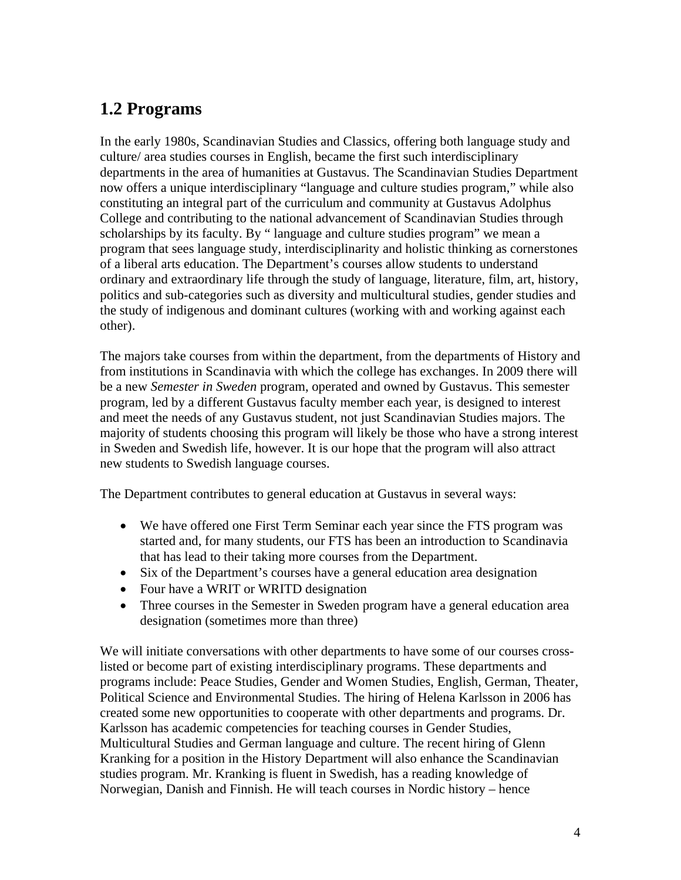# **1.2 Programs**

In the early 1980s, Scandinavian Studies and Classics, offering both language study and culture/ area studies courses in English, became the first such interdisciplinary departments in the area of humanities at Gustavus. The Scandinavian Studies Department now offers a unique interdisciplinary "language and culture studies program," while also constituting an integral part of the curriculum and community at Gustavus Adolphus College and contributing to the national advancement of Scandinavian Studies through scholarships by its faculty. By " language and culture studies program" we mean a program that sees language study, interdisciplinarity and holistic thinking as cornerstones of a liberal arts education. The Department's courses allow students to understand ordinary and extraordinary life through the study of language, literature, film, art, history, politics and sub-categories such as diversity and multicultural studies, gender studies and the study of indigenous and dominant cultures (working with and working against each other).

The majors take courses from within the department, from the departments of History and from institutions in Scandinavia with which the college has exchanges. In 2009 there will be a new *Semester in Sweden* program, operated and owned by Gustavus. This semester program, led by a different Gustavus faculty member each year, is designed to interest and meet the needs of any Gustavus student, not just Scandinavian Studies majors. The majority of students choosing this program will likely be those who have a strong interest in Sweden and Swedish life, however. It is our hope that the program will also attract new students to Swedish language courses.

The Department contributes to general education at Gustavus in several ways:

- We have offered one First Term Seminar each year since the FTS program was started and, for many students, our FTS has been an introduction to Scandinavia that has lead to their taking more courses from the Department.
- Six of the Department's courses have a general education area designation
- Four have a WRIT or WRITD designation
- Three courses in the Semester in Sweden program have a general education area designation (sometimes more than three)

We will initiate conversations with other departments to have some of our courses crosslisted or become part of existing interdisciplinary programs. These departments and programs include: Peace Studies, Gender and Women Studies, English, German, Theater, Political Science and Environmental Studies. The hiring of Helena Karlsson in 2006 has created some new opportunities to cooperate with other departments and programs. Dr. Karlsson has academic competencies for teaching courses in Gender Studies, Multicultural Studies and German language and culture. The recent hiring of Glenn Kranking for a position in the History Department will also enhance the Scandinavian studies program. Mr. Kranking is fluent in Swedish, has a reading knowledge of Norwegian, Danish and Finnish. He will teach courses in Nordic history – hence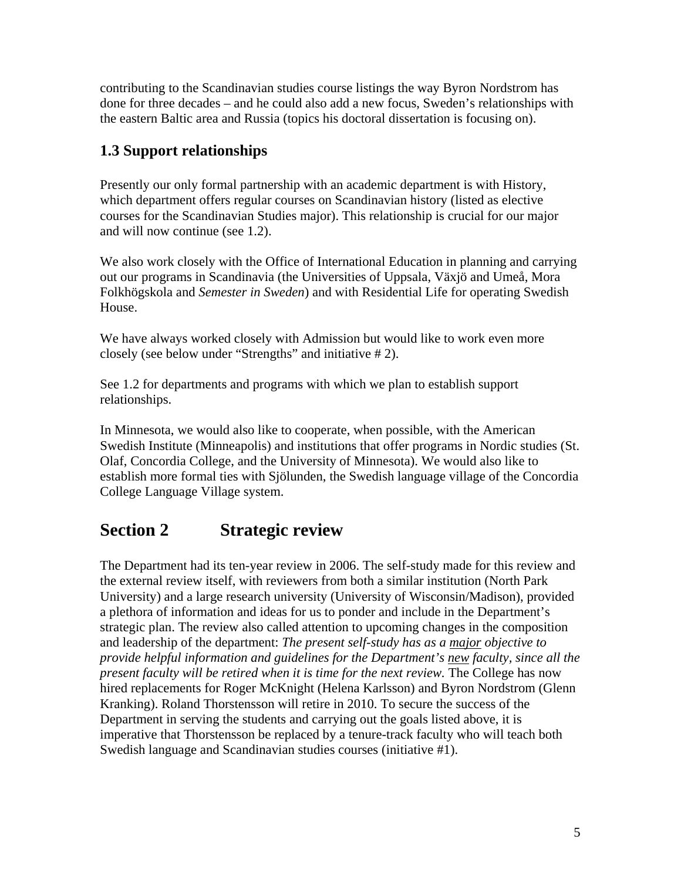contributing to the Scandinavian studies course listings the way Byron Nordstrom has done for three decades – and he could also add a new focus, Sweden's relationships with the eastern Baltic area and Russia (topics his doctoral dissertation is focusing on).

# **1.3 Support relationships**

Presently our only formal partnership with an academic department is with History, which department offers regular courses on Scandinavian history (listed as elective courses for the Scandinavian Studies major). This relationship is crucial for our major and will now continue (see 1.2).

We also work closely with the Office of International Education in planning and carrying out our programs in Scandinavia (the Universities of Uppsala, Växjö and Umeå, Mora Folkhögskola and *Semester in Sweden*) and with Residential Life for operating Swedish House.

We have always worked closely with Admission but would like to work even more closely (see below under "Strengths" and initiative # 2).

See 1.2 for departments and programs with which we plan to establish support relationships.

In Minnesota, we would also like to cooperate, when possible, with the American Swedish Institute (Minneapolis) and institutions that offer programs in Nordic studies (St. Olaf, Concordia College, and the University of Minnesota). We would also like to establish more formal ties with Sjölunden, the Swedish language village of the Concordia College Language Village system.

# **Section 2 Strategic review**

The Department had its ten-year review in 2006. The self-study made for this review and the external review itself, with reviewers from both a similar institution (North Park University) and a large research university (University of Wisconsin/Madison), provided a plethora of information and ideas for us to ponder and include in the Department's strategic plan. The review also called attention to upcoming changes in the composition and leadership of the department: *The present self-study has as a major objective to provide helpful information and guidelines for the Department's new faculty, since all the present faculty will be retired when it is time for the next review.* The College has now hired replacements for Roger McKnight (Helena Karlsson) and Byron Nordstrom (Glenn Kranking). Roland Thorstensson will retire in 2010. To secure the success of the Department in serving the students and carrying out the goals listed above, it is imperative that Thorstensson be replaced by a tenure-track faculty who will teach both Swedish language and Scandinavian studies courses (initiative #1).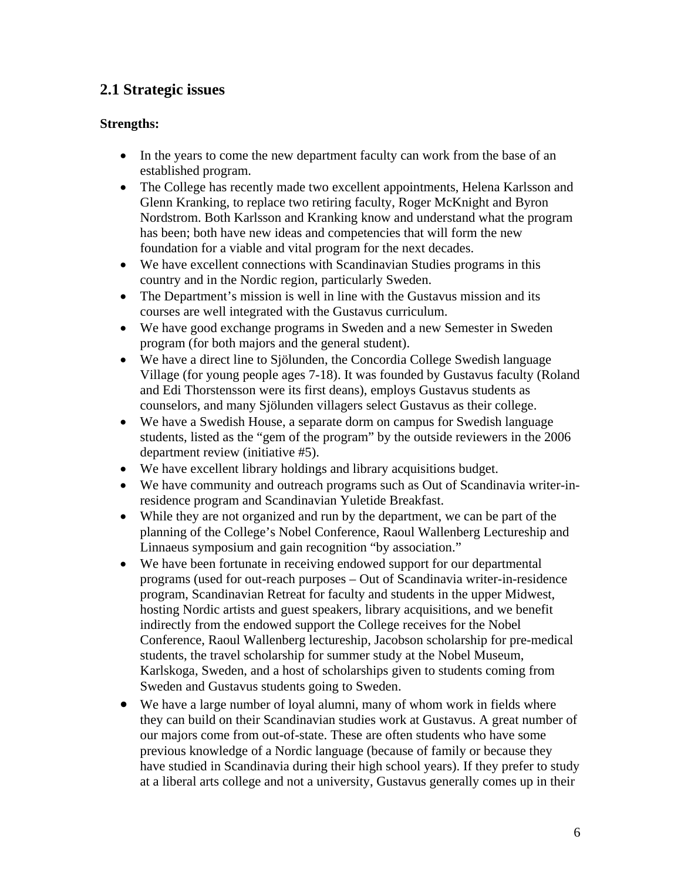## **2.1 Strategic issues**

#### **Strengths:**

- In the years to come the new department faculty can work from the base of an established program.
- The College has recently made two excellent appointments, Helena Karlsson and Glenn Kranking, to replace two retiring faculty, Roger McKnight and Byron Nordstrom. Both Karlsson and Kranking know and understand what the program has been; both have new ideas and competencies that will form the new foundation for a viable and vital program for the next decades.
- We have excellent connections with Scandinavian Studies programs in this country and in the Nordic region, particularly Sweden.
- The Department's mission is well in line with the Gustavus mission and its courses are well integrated with the Gustavus curriculum.
- We have good exchange programs in Sweden and a new Semester in Sweden program (for both majors and the general student).
- We have a direct line to Sjölunden, the Concordia College Swedish language Village (for young people ages 7-18). It was founded by Gustavus faculty (Roland and Edi Thorstensson were its first deans), employs Gustavus students as counselors, and many Sjölunden villagers select Gustavus as their college.
- We have a Swedish House, a separate dorm on campus for Swedish language students, listed as the "gem of the program" by the outside reviewers in the 2006 department review (initiative #5).
- We have excellent library holdings and library acquisitions budget.
- We have community and outreach programs such as Out of Scandinavia writer-inresidence program and Scandinavian Yuletide Breakfast.
- While they are not organized and run by the department, we can be part of the planning of the College's Nobel Conference, Raoul Wallenberg Lectureship and Linnaeus symposium and gain recognition "by association."
- We have been fortunate in receiving endowed support for our departmental programs (used for out-reach purposes – Out of Scandinavia writer-in-residence program, Scandinavian Retreat for faculty and students in the upper Midwest, hosting Nordic artists and guest speakers, library acquisitions, and we benefit indirectly from the endowed support the College receives for the Nobel Conference, Raoul Wallenberg lectureship, Jacobson scholarship for pre-medical students, the travel scholarship for summer study at the Nobel Museum, Karlskoga, Sweden, and a host of scholarships given to students coming from Sweden and Gustavus students going to Sweden.
- We have a large number of loyal alumni, many of whom work in fields where they can build on their Scandinavian studies work at Gustavus. A great number of our majors come from out-of-state. These are often students who have some previous knowledge of a Nordic language (because of family or because they have studied in Scandinavia during their high school years). If they prefer to study at a liberal arts college and not a university, Gustavus generally comes up in their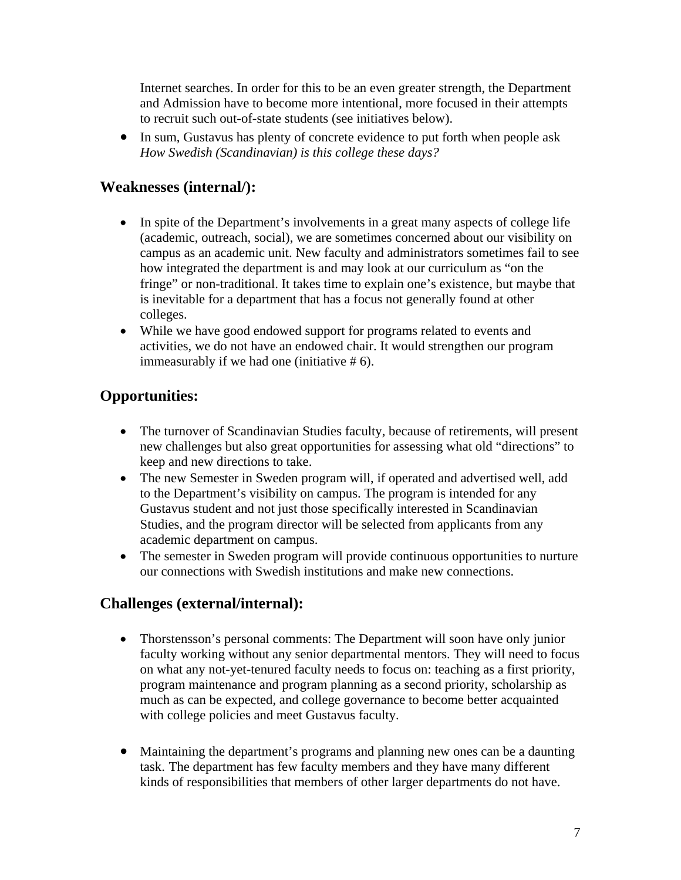Internet searches. In order for this to be an even greater strength, the Department and Admission have to become more intentional, more focused in their attempts to recruit such out-of-state students (see initiatives below).

• In sum, Gustavus has plenty of concrete evidence to put forth when people ask *How Swedish (Scandinavian) is this college these days?*

### **Weaknesses (internal/):**

- In spite of the Department's involvements in a great many aspects of college life (academic, outreach, social), we are sometimes concerned about our visibility on campus as an academic unit. New faculty and administrators sometimes fail to see how integrated the department is and may look at our curriculum as "on the fringe" or non-traditional. It takes time to explain one's existence, but maybe that is inevitable for a department that has a focus not generally found at other colleges.
- While we have good endowed support for programs related to events and activities, we do not have an endowed chair. It would strengthen our program immeasurably if we had one (initiative # 6).

## **Opportunities:**

- The turnover of Scandinavian Studies faculty, because of retirements, will present new challenges but also great opportunities for assessing what old "directions" to keep and new directions to take.
- The new Semester in Sweden program will, if operated and advertised well, add to the Department's visibility on campus. The program is intended for any Gustavus student and not just those specifically interested in Scandinavian Studies, and the program director will be selected from applicants from any academic department on campus.
- The semester in Sweden program will provide continuous opportunities to nurture our connections with Swedish institutions and make new connections.

### **Challenges (external/internal):**

- Thorstensson's personal comments: The Department will soon have only junior faculty working without any senior departmental mentors. They will need to focus on what any not-yet-tenured faculty needs to focus on: teaching as a first priority, program maintenance and program planning as a second priority, scholarship as much as can be expected, and college governance to become better acquainted with college policies and meet Gustavus faculty.
- Maintaining the department's programs and planning new ones can be a daunting task. The department has few faculty members and they have many different kinds of responsibilities that members of other larger departments do not have.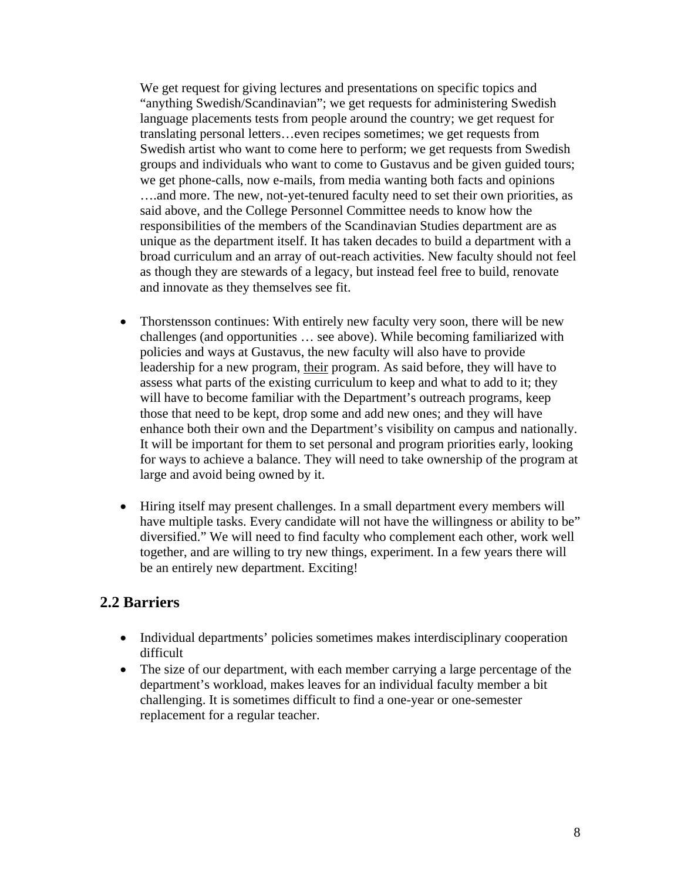We get request for giving lectures and presentations on specific topics and "anything Swedish/Scandinavian"; we get requests for administering Swedish language placements tests from people around the country; we get request for translating personal letters…even recipes sometimes; we get requests from Swedish artist who want to come here to perform; we get requests from Swedish groups and individuals who want to come to Gustavus and be given guided tours; we get phone-calls, now e-mails, from media wanting both facts and opinions ….and more. The new, not-yet-tenured faculty need to set their own priorities, as said above, and the College Personnel Committee needs to know how the responsibilities of the members of the Scandinavian Studies department are as unique as the department itself. It has taken decades to build a department with a broad curriculum and an array of out-reach activities. New faculty should not feel as though they are stewards of a legacy, but instead feel free to build, renovate and innovate as they themselves see fit.

- Thorstensson continues: With entirely new faculty very soon, there will be new challenges (and opportunities … see above). While becoming familiarized with policies and ways at Gustavus, the new faculty will also have to provide leadership for a new program, their program. As said before, they will have to assess what parts of the existing curriculum to keep and what to add to it; they will have to become familiar with the Department's outreach programs, keep those that need to be kept, drop some and add new ones; and they will have enhance both their own and the Department's visibility on campus and nationally. It will be important for them to set personal and program priorities early, looking for ways to achieve a balance. They will need to take ownership of the program at large and avoid being owned by it.
- Hiring itself may present challenges. In a small department every members will have multiple tasks. Every candidate will not have the willingness or ability to be" diversified." We will need to find faculty who complement each other, work well together, and are willing to try new things, experiment. In a few years there will be an entirely new department. Exciting!

### **2.2 Barriers**

- Individual departments' policies sometimes makes interdisciplinary cooperation difficult
- The size of our department, with each member carrying a large percentage of the department's workload, makes leaves for an individual faculty member a bit challenging. It is sometimes difficult to find a one-year or one-semester replacement for a regular teacher.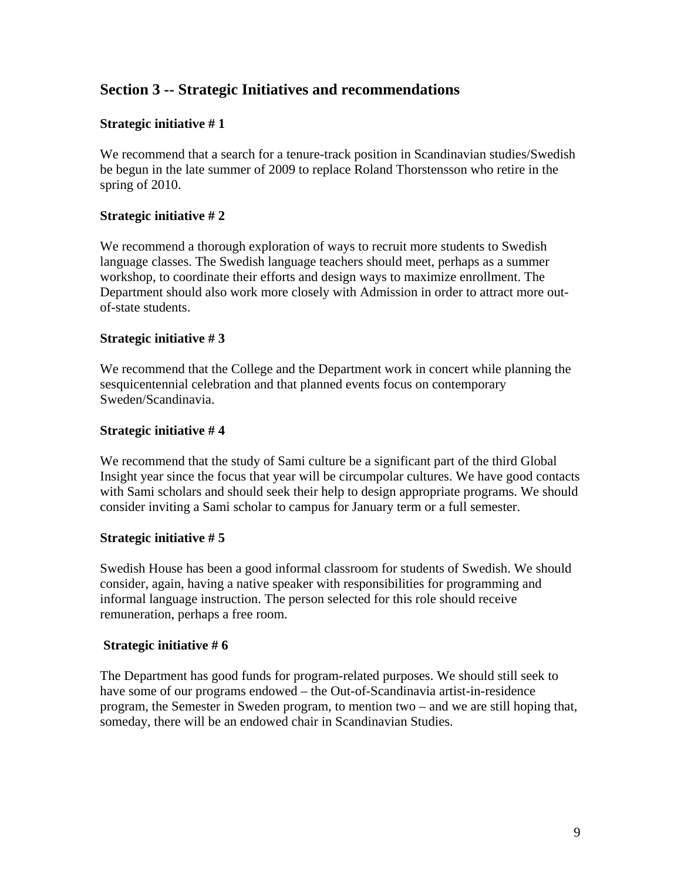### **Section 3 -- Strategic Initiatives and recommendations**

#### **Strategic initiative # 1**

We recommend that a search for a tenure-track position in Scandinavian studies/Swedish be begun in the late summer of 2009 to replace Roland Thorstensson who retire in the spring of 2010.

#### **Strategic initiative # 2**

We recommend a thorough exploration of ways to recruit more students to Swedish language classes. The Swedish language teachers should meet, perhaps as a summer workshop, to coordinate their efforts and design ways to maximize enrollment. The Department should also work more closely with Admission in order to attract more outof-state students.

#### **Strategic initiative # 3**

We recommend that the College and the Department work in concert while planning the sesquicentennial celebration and that planned events focus on contemporary Sweden/Scandinavia.

#### **Strategic initiative # 4**

We recommend that the study of Sami culture be a significant part of the third Global Insight year since the focus that year will be circumpolar cultures. We have good contacts with Sami scholars and should seek their help to design appropriate programs. We should consider inviting a Sami scholar to campus for January term or a full semester.

#### **Strategic initiative # 5**

Swedish House has been a good informal classroom for students of Swedish. We should consider, again, having a native speaker with responsibilities for programming and informal language instruction. The person selected for this role should receive remuneration, perhaps a free room.

#### **Strategic initiative # 6**

The Department has good funds for program-related purposes. We should still seek to have some of our programs endowed – the Out-of-Scandinavia artist-in-residence program, the Semester in Sweden program, to mention two – and we are still hoping that, someday, there will be an endowed chair in Scandinavian Studies.